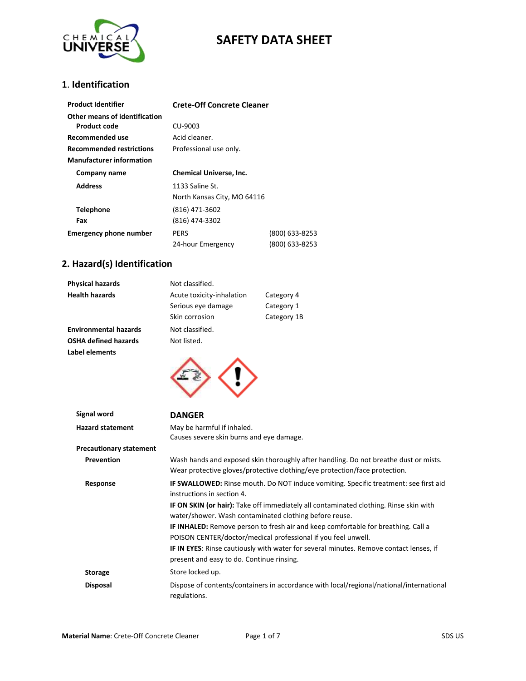

## **1**. **Identification**

| <b>Product Identifier</b>                     | <b>Crete-Off Concrete Cleaner</b>              |                                  |
|-----------------------------------------------|------------------------------------------------|----------------------------------|
| Other means of identification<br>Product code | CU-9003                                        |                                  |
| Recommended use                               | Acid cleaner.                                  |                                  |
| <b>Recommended restrictions</b>               | Professional use only.                         |                                  |
| <b>Manufacturer information</b>               |                                                |                                  |
| Company name                                  | <b>Chemical Universe, Inc.</b>                 |                                  |
| <b>Address</b>                                | 1133 Saline St.<br>North Kansas City, MO 64116 |                                  |
| <b>Telephone</b>                              | (816) 471-3602                                 |                                  |
| Fax                                           | (816) 474-3302                                 |                                  |
| <b>Emergency phone number</b>                 | <b>PERS</b><br>24-hour Emergency               | (800) 633-8253<br>(800) 633-8253 |

## **2. Hazard(s) Identification**

| <b>Physical hazards</b>      | Not classified.           |             |
|------------------------------|---------------------------|-------------|
| <b>Health hazards</b>        | Acute toxicity-inhalation | Category 4  |
|                              | Serious eye damage        | Category 1  |
|                              | Skin corrosion            | Category 1B |
| <b>Environmental hazards</b> | Not classified.           |             |
| <b>OSHA defined hazards</b>  | Not listed.               |             |
| Label elements               |                           |             |



| Signal word                    | <b>DANGER</b>                                                                                           |
|--------------------------------|---------------------------------------------------------------------------------------------------------|
| <b>Hazard statement</b>        | May be harmful if inhaled.                                                                              |
|                                | Causes severe skin burns and eye damage.                                                                |
| <b>Precautionary statement</b> |                                                                                                         |
| Prevention                     | Wash hands and exposed skin thoroughly after handling. Do not breathe dust or mists.                    |
|                                | Wear protective gloves/protective clothing/eye protection/face protection.                              |
| Response                       | <b>IF SWALLOWED:</b> Rinse mouth. Do NOT induce vomiting. Specific treatment: see first aid             |
|                                | instructions in section 4.                                                                              |
|                                | <b>IF ON SKIN (or hair):</b> Take off immediately all contaminated clothing. Rinse skin with            |
|                                | water/shower. Wash contaminated clothing before reuse.                                                  |
|                                | <b>IF INHALED:</b> Remove person to fresh air and keep comfortable for breathing. Call a                |
|                                | POISON CENTER/doctor/medical professional if you feel unwell.                                           |
|                                | <b>IF IN EYES:</b> Rinse cautiously with water for several minutes. Remove contact lenses, if           |
|                                | present and easy to do. Continue rinsing.                                                               |
| <b>Storage</b>                 | Store locked up.                                                                                        |
| <b>Disposal</b>                | Dispose of contents/containers in accordance with local/regional/national/international<br>regulations. |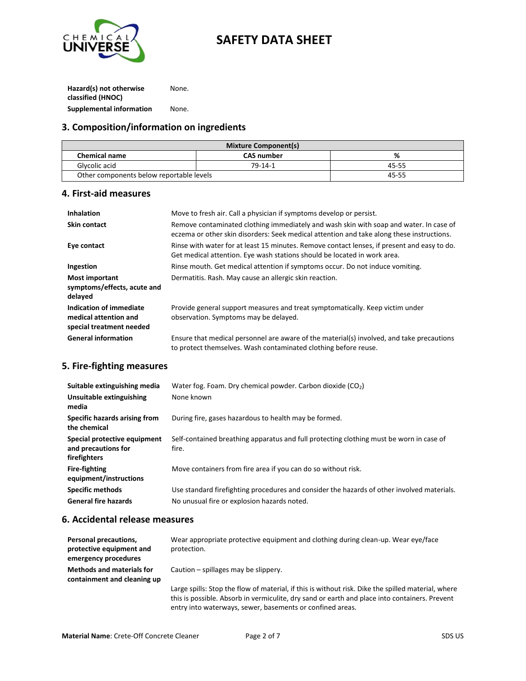

**Hazard(s) not otherwise classified (HNOC)** None. **Supplemental information** None.

#### **3. Composition/information on ingredients**

| <b>Mixture Component(s)</b>              |                   |       |
|------------------------------------------|-------------------|-------|
| <b>Chemical name</b>                     | <b>CAS number</b> | %     |
| Glycolic acid                            | $79 - 14 - 1$     | 45-55 |
| Other components below reportable levels |                   | 45-55 |

#### **4. First-aid measures**

| <b>Inhalation</b>                                                            | Move to fresh air. Call a physician if symptoms develop or persist.                                                                                                                 |
|------------------------------------------------------------------------------|-------------------------------------------------------------------------------------------------------------------------------------------------------------------------------------|
| <b>Skin contact</b>                                                          | Remove contaminated clothing immediately and wash skin with soap and water. In case of<br>eczema or other skin disorders: Seek medical attention and take along these instructions. |
| Eye contact                                                                  | Rinse with water for at least 15 minutes. Remove contact lenses, if present and easy to do.<br>Get medical attention. Eye wash stations should be located in work area.             |
| Ingestion                                                                    | Rinse mouth. Get medical attention if symptoms occur. Do not induce vomiting.                                                                                                       |
| Most important<br>symptoms/effects, acute and<br>delayed                     | Dermatitis. Rash. May cause an allergic skin reaction.                                                                                                                              |
| Indication of immediate<br>medical attention and<br>special treatment needed | Provide general support measures and treat symptomatically. Keep victim under<br>observation. Symptoms may be delayed.                                                              |
| <b>General information</b>                                                   | Ensure that medical personnel are aware of the material(s) involved, and take precautions<br>to protect themselves. Wash contaminated clothing before reuse.                        |

#### **5. Fire-fighting measures**

| Suitable extinguishing media<br>Unsuitable extinguishing<br>media   | Water fog. Foam. Dry chemical powder. Carbon dioxide $(CO2)$<br>None known                       |
|---------------------------------------------------------------------|--------------------------------------------------------------------------------------------------|
| Specific hazards arising from<br>the chemical                       | During fire, gases hazardous to health may be formed.                                            |
| Special protective equipment<br>and precautions for<br>firefighters | Self-contained breathing apparatus and full protecting clothing must be worn in case of<br>fire. |
| <b>Fire-fighting</b><br>equipment/instructions                      | Move containers from fire area if you can do so without risk.                                    |
| <b>Specific methods</b>                                             | Use standard firefighting procedures and consider the hazards of other involved materials.       |
| <b>General fire hazards</b>                                         | No unusual fire or explosion hazards noted.                                                      |

#### **6. Accidental release measures**

| Personal precautions,<br>protective equipment and<br>emergency procedures | Wear appropriate protective equipment and clothing during clean-up. Wear eve/face<br>protection.                                                                                                                                                                 |
|---------------------------------------------------------------------------|------------------------------------------------------------------------------------------------------------------------------------------------------------------------------------------------------------------------------------------------------------------|
| <b>Methods and materials for</b><br>containment and cleaning up           | Caution – spillages may be slippery.                                                                                                                                                                                                                             |
|                                                                           | Large spills: Stop the flow of material, if this is without risk. Dike the spilled material, where<br>this is possible. Absorb in vermiculite, dry sand or earth and place into containers. Prevent<br>entry into waterways, sewer, basements or confined areas. |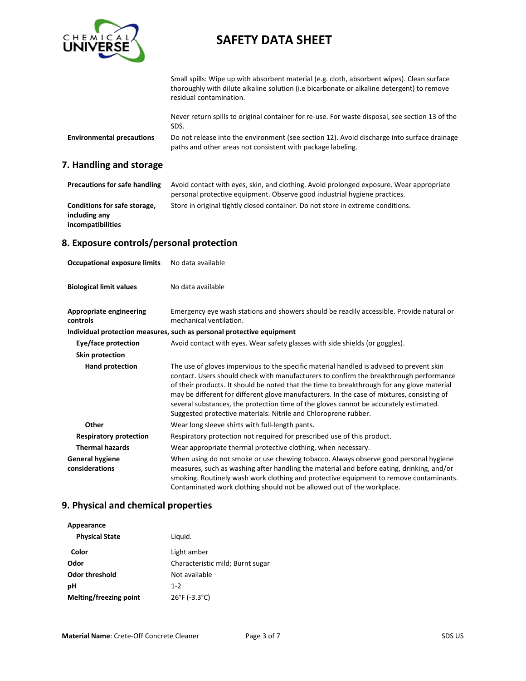

Small spills: Wipe up with absorbent material (e.g. cloth, absorbent wipes). Clean surface thoroughly with dilute alkaline solution (i.e bicarbonate or alkaline detergent) to remove residual contamination.

Never return spills to original container for re-use. For waste disposal, see section 13 of the SDS.

**Environmental precautions** Do not release into the environment (see section 12). Avoid discharge into surface drainage paths and other areas not consistent with package labeling.

#### **7. Handling and storage**

| <b>Precautions for safe handling</b> | Avoid contact with eyes, skin, and clothing. Avoid prolonged exposure. Wear appropriate |
|--------------------------------------|-----------------------------------------------------------------------------------------|
|                                      | personal protective equipment. Observe good industrial hygiene practices.               |
| Conditions for safe storage,         | Store in original tightly closed container. Do not store in extreme conditions.         |
| including any                        |                                                                                         |
| incompatibilities                    |                                                                                         |

## **8. Exposure controls/personal protection**

| <b>Occupational exposure limits</b>        | No data available                                                                                                                                                                                                                                                                                                                                                                                                                                                                                                                          |
|--------------------------------------------|--------------------------------------------------------------------------------------------------------------------------------------------------------------------------------------------------------------------------------------------------------------------------------------------------------------------------------------------------------------------------------------------------------------------------------------------------------------------------------------------------------------------------------------------|
| <b>Biological limit values</b>             | No data available                                                                                                                                                                                                                                                                                                                                                                                                                                                                                                                          |
| <b>Appropriate engineering</b><br>controls | Emergency eye wash stations and showers should be readily accessible. Provide natural or<br>mechanical ventilation.                                                                                                                                                                                                                                                                                                                                                                                                                        |
|                                            | Individual protection measures, such as personal protective equipment                                                                                                                                                                                                                                                                                                                                                                                                                                                                      |
| Eye/face protection                        | Avoid contact with eyes. Wear safety glasses with side shields (or goggles).                                                                                                                                                                                                                                                                                                                                                                                                                                                               |
| Skin protection                            |                                                                                                                                                                                                                                                                                                                                                                                                                                                                                                                                            |
| <b>Hand protection</b>                     | The use of gloves impervious to the specific material handled is advised to prevent skin<br>contact. Users should check with manufacturers to confirm the breakthrough performance<br>of their products. It should be noted that the time to breakthrough for any glove material<br>may be different for different glove manufacturers. In the case of mixtures, consisting of<br>several substances, the protection time of the gloves cannot be accurately estimated.<br>Suggested protective materials: Nitrile and Chloroprene rubber. |
| Other                                      | Wear long sleeve shirts with full-length pants.                                                                                                                                                                                                                                                                                                                                                                                                                                                                                            |
| <b>Respiratory protection</b>              | Respiratory protection not required for prescribed use of this product.                                                                                                                                                                                                                                                                                                                                                                                                                                                                    |
| <b>Thermal hazards</b>                     | Wear appropriate thermal protective clothing, when necessary.                                                                                                                                                                                                                                                                                                                                                                                                                                                                              |
| <b>General hygiene</b><br>considerations   | When using do not smoke or use chewing tobacco. Always observe good personal hygiene<br>measures, such as washing after handling the material and before eating, drinking, and/or<br>smoking. Routinely wash work clothing and protective equipment to remove contaminants.<br>Contaminated work clothing should not be allowed out of the workplace.                                                                                                                                                                                      |

#### **9. Physical and chemical properties**

| Appearance             |                                    |
|------------------------|------------------------------------|
| <b>Physical State</b>  | Liquid.                            |
| Color                  | Light amber                        |
| Odor                   | Characteristic mild; Burnt sugar   |
| <b>Odor threshold</b>  | Not available                      |
| рH                     | $1 - 2$                            |
| Melting/freezing point | $26^{\circ}$ F (-3.3 $^{\circ}$ C) |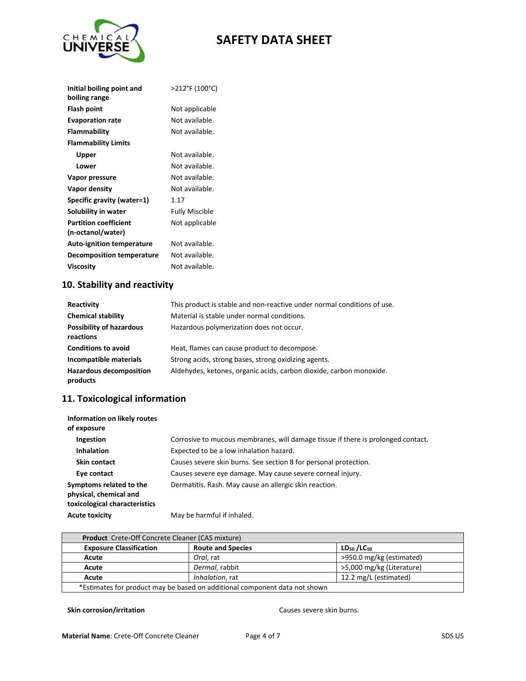

| Initial boiling point and        | >212°F (100°C) |
|----------------------------------|----------------|
| boiling range                    |                |
| Flash point                      | Not applicable |
| <b>Evaporation rate</b>          | Not available. |
| Flammability                     | Not available. |
| <b>Flammability Limits</b>       |                |
| Upper                            | Not available. |
| Lower                            | Not available. |
| Vapor pressure                   | Not available. |
| Vapor density                    | Not available. |
| Specific gravity (water=1)       | 1.17           |
| Solubility in water              | Fully Miscible |
| <b>Partition coefficient</b>     | Not applicable |
| (n-octanol/water)                |                |
| <b>Auto-ignition temperature</b> | Not available. |
| <b>Decomposition temperature</b> | Not available. |
| Viscosity                        | Not available. |
|                                  |                |

## **10. Stability and reactivity**

| Reactivity                                   | This product is stable and non-reactive under normal conditions of use. |
|----------------------------------------------|-------------------------------------------------------------------------|
| <b>Chemical stability</b>                    | Material is stable under normal conditions.                             |
| <b>Possibility of hazardous</b><br>reactions | Hazardous polymerization does not occur.                                |
| <b>Conditions to avoid</b>                   | Heat, flames can cause product to decompose.                            |
| Incompatible materials                       | Strong acids, strong bases, strong oxidizing agents.                    |
| <b>Hazardous decomposition</b><br>products   | Aldehydes, ketones, organic acids, carbon dioxide, carbon monoxide.     |

## **11. Toxicological information**

| Information on likely routes<br>of exposure                                        |                                                                                  |
|------------------------------------------------------------------------------------|----------------------------------------------------------------------------------|
| Ingestion                                                                          | Corrosive to mucous membranes, will damage tissue if there is prolonged contact. |
| <b>Inhalation</b>                                                                  | Expected to be a low inhalation hazard.                                          |
| <b>Skin contact</b>                                                                | Causes severe skin burns. See section 8 for personal protection.                 |
| Eye contact                                                                        | Causes severe eye damage. May cause severe corneal injury.                       |
| Symptoms related to the<br>physical, chemical and<br>toxicological characteristics | Dermatitis. Rash. May cause an allergic skin reaction.                           |
| <b>Acute toxicity</b>                                                              | May be harmful if inhaled.                                                       |

| <b>Product</b> Crete-Off Concrete Cleaner (CAS mixture)                    |                          |                                    |  |
|----------------------------------------------------------------------------|--------------------------|------------------------------------|--|
| <b>Exposure Classification</b>                                             | <b>Route and Species</b> | LD <sub>50</sub> /LC <sub>50</sub> |  |
| Acute                                                                      | Oral, rat                | >950.0 mg/kg (estimated)           |  |
| Acute                                                                      | Dermal, rabbit           | >5,000 mg/kg (Literature)          |  |
| Acute                                                                      | Inhalation, rat          | 12.2 mg/L (estimated)              |  |
| *Estimates for product may be based on additional component data not shown |                          |                                    |  |

#### **Skin corrosion/irritation Causes severe skin burns.**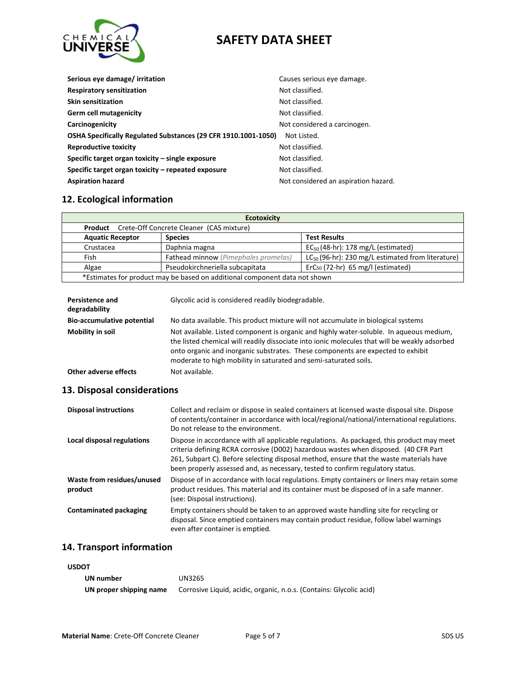

| Serious eye damage/ irritation                                 | Causes serious eye damage.           |
|----------------------------------------------------------------|--------------------------------------|
| <b>Respiratory sensitization</b>                               | Not classified.                      |
| <b>Skin sensitization</b>                                      | Not classified.                      |
| Germ cell mutagenicity                                         | Not classified.                      |
| Carcinogenicity                                                | Not considered a carcinogen.         |
| OSHA Specifically Regulated Substances (29 CFR 1910.1001-1050) | Not Listed.                          |
| <b>Reproductive toxicity</b>                                   | Not classified.                      |
| Specific target organ toxicity – single exposure               | Not classified.                      |
| Specific target organ toxicity – repeated exposure             | Not classified.                      |
| <b>Aspiration hazard</b>                                       | Not considered an aspiration hazard. |

#### **12. Ecological information**

| <b>Ecotoxicity</b>                                                         |                                      |                                                        |  |
|----------------------------------------------------------------------------|--------------------------------------|--------------------------------------------------------|--|
| <b>Product</b> Crete-Off Concrete Cleaner (CAS mixture)                    |                                      |                                                        |  |
| <b>Aquatic Receptor</b>                                                    | <b>Species</b>                       | <b>Test Results</b>                                    |  |
| Crustacea                                                                  | Daphnia magna                        | $EC_{50}$ (48-hr): 178 mg/L (estimated)                |  |
| Fish                                                                       | Fathead minnow (Pimephales promelas) | $LC_{50}$ (96-hr): 230 mg/L estimated from literature) |  |
| Algae                                                                      | Pseudokirchneriella subcapitata      | $ErCs0$ (72-hr) 65 mg/l (estimated)                    |  |
| *Estimates for product may be based on additional component data not shown |                                      |                                                        |  |

| <b>Persistence and</b><br>degradability | Glycolic acid is considered readily biodegradable.                                                                                                                                                                                                                                                                                              |
|-----------------------------------------|-------------------------------------------------------------------------------------------------------------------------------------------------------------------------------------------------------------------------------------------------------------------------------------------------------------------------------------------------|
| <b>Bio-accumulative potential</b>       | No data available. This product mixture will not accumulate in biological systems                                                                                                                                                                                                                                                               |
| Mobility in soil                        | Not available. Listed component is organic and highly water-soluble. In aqueous medium,<br>the listed chemical will readily dissociate into ionic molecules that will be weakly adsorbed<br>onto organic and inorganic substrates. These components are expected to exhibit<br>moderate to high mobility in saturated and semi-saturated soils. |
| Other adverse effects                   | Not available.                                                                                                                                                                                                                                                                                                                                  |

## **13. Disposal considerations**

| <b>Disposal instructions</b>          | Collect and reclaim or dispose in sealed containers at licensed waste disposal site. Dispose<br>of contents/container in accordance with local/regional/national/international regulations.<br>Do not release to the environment.                                                                                                                              |
|---------------------------------------|----------------------------------------------------------------------------------------------------------------------------------------------------------------------------------------------------------------------------------------------------------------------------------------------------------------------------------------------------------------|
| Local disposal regulations            | Dispose in accordance with all applicable regulations. As packaged, this product may meet<br>criteria defining RCRA corrosive (D002) hazardous wastes when disposed. (40 CFR Part<br>261, Subpart C). Before selecting disposal method, ensure that the waste materials have<br>been properly assessed and, as necessary, tested to confirm regulatory status. |
| Waste from residues/unused<br>product | Dispose of in accordance with local regulations. Empty containers or liners may retain some<br>product residues. This material and its container must be disposed of in a safe manner.<br>(see: Disposal instructions).                                                                                                                                        |
| <b>Contaminated packaging</b>         | Empty containers should be taken to an approved waste handling site for recycling or<br>disposal. Since emptied containers may contain product residue, follow label warnings<br>even after container is emptied.                                                                                                                                              |

#### **14. Transport information**

#### **USDOT**

| UN number               | UN3265                                                              |
|-------------------------|---------------------------------------------------------------------|
| UN proper shipping name | Corrosive Liquid, acidic, organic, n.o.s. (Contains: Glycolic acid) |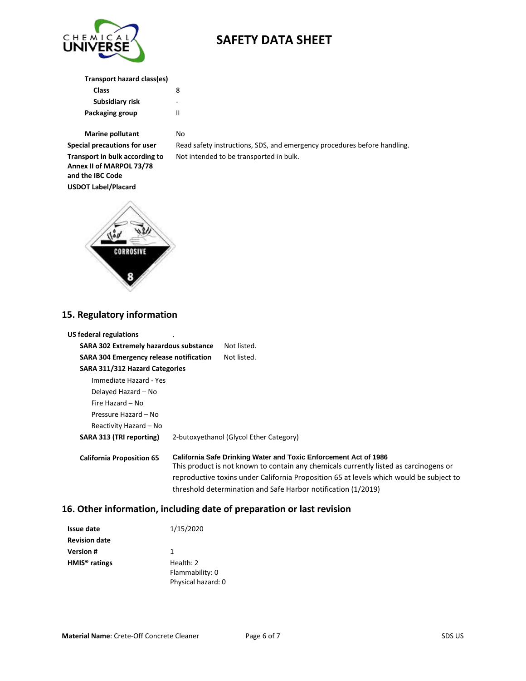

**Transport hazard class(es)**

| Class           | 8 |
|-----------------|---|
| Subsidiary risk | - |
| Packaging group | Ш |

**Marine pollutant** No

**Transport in bulk according to Annex II of MARPOL 73/78 and the IBC Code USDOT Label/Placard**

**Special precautions for user** Read safety instructions, SDS, and emergency procedures before handling. Not intended to be transported in bulk.



## **15. Regulatory information**

| <b>US federal regulations</b>                  |                                                                                                                                                                                                                                                                                                                              |
|------------------------------------------------|------------------------------------------------------------------------------------------------------------------------------------------------------------------------------------------------------------------------------------------------------------------------------------------------------------------------------|
| <b>SARA 302 Extremely hazardous substance</b>  | Not listed.                                                                                                                                                                                                                                                                                                                  |
| <b>SARA 304 Emergency release notification</b> | Not listed.                                                                                                                                                                                                                                                                                                                  |
| SARA 311/312 Hazard Categories                 |                                                                                                                                                                                                                                                                                                                              |
| Immediate Hazard - Yes                         |                                                                                                                                                                                                                                                                                                                              |
| Delayed Hazard – No                            |                                                                                                                                                                                                                                                                                                                              |
| Fire Hazard – No                               |                                                                                                                                                                                                                                                                                                                              |
| Pressure Hazard – No                           |                                                                                                                                                                                                                                                                                                                              |
| Reactivity Hazard – No                         |                                                                                                                                                                                                                                                                                                                              |
| SARA 313 (TRI reporting)                       | 2-butoxyethanol (Glycol Ether Category)                                                                                                                                                                                                                                                                                      |
| <b>California Proposition 65</b>               | <b>California Safe Drinking Water and Toxic Enforcement Act of 1986</b><br>This product is not known to contain any chemicals currently listed as carcinogens or<br>reproductive toxins under California Proposition 65 at levels which would be subject to<br>threshold determination and Safe Harbor notification (1/2019) |

### **16. Other information, including date of preparation or last revision**

| <b>Issue date</b>         | 1/15/2020          |
|---------------------------|--------------------|
| <b>Revision date</b>      |                    |
| <b>Version</b> #          | 1                  |
| HMIS <sup>®</sup> ratings | Health: 2          |
|                           | Flammability: 0    |
|                           | Physical hazard: 0 |